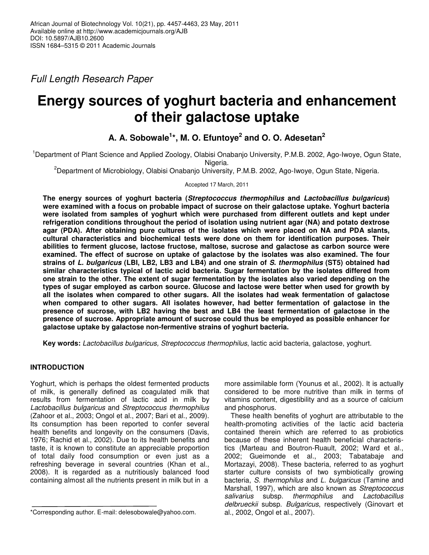*Full Length Research Paper*

# **Energy sources of yoghurt bacteria and enhancement of their galactose uptake**

# **A. A. Sobowale 1 \*, M. O. Efuntoye 2 and O. O. Adesetan 2**

<sup>1</sup>Department of Plant Science and Applied Zoology, Olabisi Onabanjo University, P.M.B. 2002, Ago-Iwoye, Ogun State, Nigeria.

<sup>2</sup>Department of Microbiology, Olabisi Onabanjo University, P.M.B. 2002, Ago-Iwoye, Ogun State, Nigeria.

Accepted 17 March, 2011

**The energy sources of yoghurt bacteria (***Streptococcus thermophilus* **and** *Lactobacillus bulgaricus***) were examined with a focus on probable impact of sucrose on their galactose uptake. Yoghurt bacteria were isolated from samples of yoghurt which were purchased from different outlets and kept under refrigeration conditions throughout the period of isolation using nutrient agar (NA) and potato dextrose agar (PDA). After obtaining pure cultures of the isolates which were placed on NA and PDA slants, cultural characteristics and biochemical tests were done on them for identification purposes. Their abilities to ferment glucose, lactose fructose, maltose, sucrose and galactose as carbon source were examined. The effect of sucrose on uptake of galactose by the isolates was also examined. The four** strains of L. bulgaricus (LBI, LB2, LB3 and LB4) and one strain of S. thermophilus (ST5) obtained had **similar characteristics typical of lactic acid bacteria. Sugar fermentation by the isolates differed from** one strain to the other. The extent of sugar fermentation by the isolates also varied depending on the **types of sugar employed as carbon source. Glucose and lactose were better when used for growth by all the isolates when compared to other sugars. All the isolates had weak fermentation of galactose when compared to other sugars. All isolates however, had better fermentation of galactose in the presence of sucrose, with LB2 having the best and LB4 the least fermentation of galactose in the presence of sucrose. Appropriate amount of sucrose could thus be employed as possible enhancer for galactose uptake by galactose non-fermentive strains of yoghurt bacteria.**

**Key words:** *Lactobacillus bulgaricus, Streptococcus thermophilus*, lactic acid bacteria, galactose, yoghurt.

# **INTRODUCTION**

Yoghurt, which is perhaps the oldest fermented products of milk, is generally defined as coagulated milk that results from fermentation of lactic acid in milk by *Lactobacillus bulgaricus* and *Streptococcus thermophilus* (Zahoor et al., 2003; Ongol et al., 2007; Bari et al., 2009). Its consumption has been reported to confer several health benefits and longevity on the consumers (Davis, 1976; Rachid et al., 2002). Due to its health benefits and taste, it is known to constitute an appreciable proportion of total daily food consumption or even just as a refreshing beverage in several countries (Khan et al., 2008). It is regarded as a nutritiously balanced food containing almost all the nutrients present in milk but in a

more assimilable form (Younus et al., 2002). It is actually considered to be more nutritive than milk in terms of vitamins content, digestibility and as a source of calcium and phosphorus.

These health benefits of yoghurt are attributable to the health-promoting activities of the lactic acid bacteria contained therein which are referred to as probiotics because of these inherent health beneficial characteristics (Marteau and Boutron-Ruault, 2002; Ward et al., 2002; Gueimonde et al., 2003; Tabatabaje and Mortazayi, 2008). These bacteria, referred to as yoghurt starter culture consists of two symbiotically growing bacteria, *S. thermophilus* and *L. bulgaricus* (Tamine and Marshall, 1997), which are also known as *Streptococcus salivarius* subsp. *thermophilus* and *Lactobacillus delbrueckii* subsp. *Bulgaricus*, respectively (Ginovart et al., 2002, Ongol et al., 2007).

<sup>\*</sup>Corresponding author. E-mail: delesobowale@yahoo.com.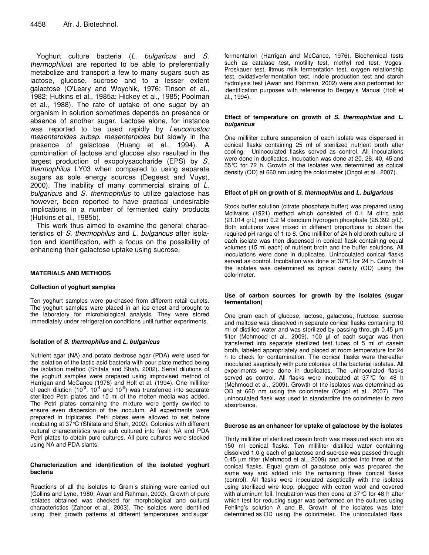Yoghurt culture bacteria (*L. bulgaricus* and *S. thermophilus*) are reported to be able to preferentially metabolize and transport a few to many sugars such as lactose, glucose, sucrose and to a lesser extent galactose (O'Leary and Woychik, 1976; Tinson et al., 1982; Hutkins et al., 1985a; Hickey et al., 1985; Poolman et al., 1988). The rate of uptake of one sugar by an organism in solution sometimes depends on presence or absence of another sugar. Lactose alone, for instance was reported to be used rapidly by *Leuconostoc mesenteroides subsp. mesenteroides* but slowly in the presence of galactose (Huang et al., 1994). A combination of lactose and glucose also resulted in the largest production of exopolysaccharide (EPS) by *S. thermophilus* LY03 when compared to using separate sugars as sole energy sources (Degeest and Vuyst, 2000). The inability of many commercial strains of *L. bulgaricus* and *S. thermophilus* to utilize galactose has however, been reported to have practical undesirable implications in a number of fermented dairy products (Hutkins et al., 1985b).

This work thus aimed to examine the general characteristics of *S. thermophilus* and *L. bulgaricus* after isolation and identification, with a focus on the possibility of enhancing their galactose uptake using sucrose.

#### **MATERIALS AND METHODS**

#### **Collection of yoghurt samples**

Ten yoghurt samples were purchased from different retail outlets. The yoghurt samples were placed in an ice chest and brought to the laboratory for microbiological analysis. They were stored immediately under refrigeration conditions until further experiments.

#### **Isolation of** *S. thermophilus* **and** *L. bulgaricus*

Nutrient agar (NA) and potato dextrose agar (PDA) were used for the isolation of the lactic acid bacteria with pour plate method being the isolation method (Shitata and Shah, 2002). Serial dilutions of the yoghurt samples were prepared using improvised method of Harrigan and McCance (1976) and Holt et al. (1994). One milliliter of each dilution (10<sup>-3</sup>, 10<sup>-4</sup> and 10<sup>-5</sup>) was transferred into separate sterilized Petri plates and 15 ml of the molten media was added. The Petri plates containing the mixture were gently swirled to ensure even dispersion of the inoculum. All experiments were prepared in triplicates. Petri plates were allowed to set before incubating at 37°C (Shitata and Shah, 2002). Colonies with different cultural characteristics were sub cultured into fresh NA and PDA Petri plates to obtain pure cultures. All pure cultures were stocked using NA and PDA slants.

#### **Characterization and identification of the isolated yoghurt bacteria**

Reactions of all the isolates to Gram's staining were carried out (Collins and Lyne, 1980; Awan and Rahman, 2002). Growth of pure isolates obtained was checked for morphological and cultural characteristics (Zahoor et al., 2003). The isolates were identified using their growth patterns at different temperatures and sugar

fermentation (Harrigan and McCance, 1976). Biochemical tests such as catalase test, motility test, methyl red test, Voges-Proskauer test, litmus milk fermentation test, oxygen relationship test, oxidative/fermentation test, indole production test and starch hydrolysis test (Awan and Rahman, 2002) were also performed for identification purposes with reference to Bergey's Manual (Holt et al., 1994).

#### **Effect of temperature on growth of** *S. thermophilus* **and** *L. bulgaricus*

One milliliter culture suspension of each isolate was dispensed in conical flasks containing 25 ml of sterilized nutrient broth after cooling. Uninoculated flasks served as control. All inoculations were done in duplicates. Incubation was done at 20, 28, 40, 45 and 55°C for 72 h. Growth of the isolates was determined as optical density (OD) at 660 nm using the colorimeter (Ongol et al., 2007).

#### **Effect of pH on growth of** *S. thermophilus* **and** *L. bulgaricus*

Stock buffer solution (citrate phosphate buffer) was prepared using Mcilvains (1921) method which consisted of 0.1 M citric acid (21.014 g/L) and 0.2 M disodium hydrogen phosphate (28.392 g/L). Both solutions were mixed in different proportions to obtain the required pH range of 1 to 8. One milliliter of 24 h old broth culture of each isolate was then dispensed in conical flask containing equal volumes (15 ml each) of nutrient broth and the buffer solutions. All inoculations were done in duplicates. Uninoculated conical flasks served as control. Incubation was done at 37°C for 24 h. Growth of the isolates was determined as optical density (OD) using the colorimeter.

#### **Use of carbon sources for growth by the isolates (sugar fermentation)**

One gram each of glucose, lactose, galactose, fructose, sucrose and maltose was dissolved in separate conical flasks containing 10 ml of distilled water and was sterilized by passing through 0.45 µm filter (Mehmood et al., 2009). 100  $\mu$  of each sugar was then transferred into separate sterilized test tubes of 5 ml of casein broth, labeled appropriately and placed at room temperature for 24 h to check for contamination. The conical flasks were thereafter inoculated aseptically with pure colonies of the bacterial isolates. All experiments were done in duplicates. The uninoculated flasks served as control. All flasks were incubated at 37°C for 48 h (Mehmood et al., 2009). Growth of the isolates was determined as OD at 660 nm using the colorimeter (Ongol et al., 2007). The uninoculated flask was used to standardize the colorimeter to zero absorbance.

#### **Sucrose as an enhancer for uptake of galactose by the isolates**

Thirty milliliter of sterilized casein broth was measured each into six 150 ml conical flasks. Ten milliliter distilled water containing dissolved 1.0 g each of galactose and sucrose was passed through 0.45 µm filter (Mehmood et al., 2009) and added into three of the conical flasks. Equal gram of galactose only was prepared the same way and added into the remaining three conical flasks (control). All flasks were inoculated aseptically with the isolates using sterilized wire loop, plugged with cotton wool and covered with aluminum foil. Incubation was then done at 37°C for 48 h after which test for reducing sugar was performed on the cultures using Fehling's solution A and B. Growth of the isolates was later determined as OD using the colorimeter. The uninoculated flask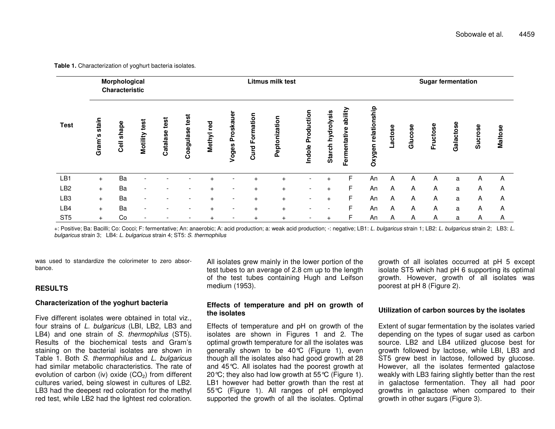**TestMorphological CharacteristicLitmusSugar fermentation Gr a m' ss t a i n Ce l l s h a p e Mo t i l i t y t e s t Cat a l as e t e s t Coa g u l as e t e s t Me t hy l r e d Vog e s P r o s k a u e r Cur d F o r ma t i o n Pe p t on i z a t i on Ind o l eP r o d u c t i on St a r c h** ء<br>م **y d r o l ys i** Starcn nydrolysis<br>Fermentative abilit **me n t a t i ve a b i l i t y Ox y g e n r e l at i o n s h** 음 **Lac t o s e Gl u c o s e Fr** 로 <u>ت</u> **t o s e Gal ac t os e Suc r o s e Ma l t o s e** LB1 + Ba - - - <sup>+</sup> - <sup>+</sup> <sup>+</sup> - <sup>+</sup> FF An A A A <sup>a</sup> A A  $IB2$  + Ba - - - <sup>+</sup> - <sup>+</sup> <sup>+</sup> - <sup>+</sup> FF An A A A <sup>a</sup> A A  $L$ B<sub>3</sub> + Ba - - - <sup>+</sup> - <sup>+</sup> <sup>+</sup> - <sup>+</sup> FF An A A A <sup>a</sup> A A LB4 + Ba - - - <sup>+</sup> - <sup>+</sup> <sup>+</sup> - - FF An A A A <sup>a</sup> A A ST5 + Co - - - <sup>+</sup> - <sup>+</sup> <sup>+</sup> - <sup>+</sup> FF An A A A <sup>a</sup> A A

**Table 1.** Characterization of yoghurt bacteria isolates.

+: Positive; Ba: Bacilli; Co: Cocci; F: fermentative; An: anaerobic; A: acid production; a: weak acid production; -: negative; LB1: L. bulgaricus strain 1; LB2: L. bulgaricus strain 2; LB3: L. EB3: L. *bulgaricus* strain 3; LB4: *L. bulgaricus* strain 4; ST5: *S. thermophilus*

was used to standardize the colorimeter to zero absorbance.

# **RESULTS**

# **Characterization of the yoghurt bacteria**

Five different isolates were obtained in total viz., four strains of *L. bulgaricus* (LBI, LB2, LB3 and LB4) and one strain of *S. thermophilus* (ST5). Results of the biochemical tests and Gram's staining on the bacterial isolates are shown in Table 1. Both *S. thermophilus* and *L. bulgaricus* had similar metabolic characteristics. The rate of evolution of carbon (iv) oxide (CO<sub>2</sub>) from different cultures varied, being slowest in cultures of LB2. LB3 had the deepest red coloration for the methyl red test, while LB2 had the lightest red coloration.

All isolates grew mainly in the lower portion of the test tubes to an average of 2.8 cm up to the length of the test tubes containing Hugh and Leifson medium (1953).

# **Effects of temperature and pH on growth of the isolates**

Effects of temperature and pH on growth of the isolates are shown in Figures 1 and 2. The optimal growth temperature for all the isolates was generally shown to be 40°C (Figure 1), even though all the isolates also had good growth at 28 and 45°C. All isolates had the poorest growth at 20 °C; they also had low growth at  $55^{\circ}$ C (Figure 1). LB1 however had better growth than the rest at 55°C (Figure 1). All ranges of pH employed supported the growth of all the isolates. Optimal

growth of all isolates occurred at pH 5 except isolate ST5 which had pH 6 supporting its optimal growth. However, growth of all isolates was poorest at pH 8 (Figure 2).

# **Utilization of carbon sources by the isolates**

Extent of sugar fermentation by the isolates varied depending on the types of sugar used as carbon source. LB2 and LB4 utilized glucose best for growth followed by lactose, while LBI, LB3 and ST5 grew best in lactose, followed by glucose. However, all the isolates fermented galactose weakly with LB3 fairing slightly better than the rest in galactose fermentation. They all had poor growths in galactose when compared to their growth in other sugars (Figure 3).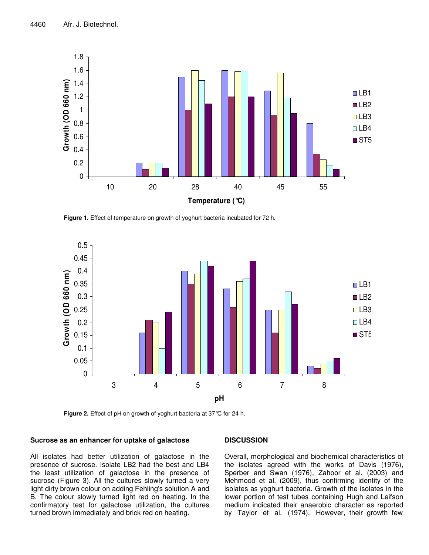

**Figure 1.** Effect of temperature on growth of yoghurt bacteria incubated for 72 h.



**Figure 2.** Effect of pH on growth of yoghurt bacteria at 37°C for 24 h.

# **Sucrose as an enhancer for uptake of galactose**

All isolates had better utilization of galactose in the presence of sucrose. Isolate LB2 had the best and LB4 the least utilization of galactose in the presence of sucrose (Figure 3). All the cultures slowly turned a very light dirty brown colour on adding Fehling's solution A and B. The colour slowly turned light red on heating. In the confirmatory test for galactose utilization, the cultures turned brown immediately and brick red on heating.

# **DISCUSSION**

Overall, morphological and biochemical characteristics of the isolates agreed with the works of Davis (1976), Sperber and Swan (1976), Zahoor et al. (2003) and Mehmood et al. (2009), thus confirming identity of the isolates as yoghurt bacteria. Growth of the isolates in the lower portion of test tubes containing Hugh and Leifson medium indicated their anaerobic character as reported by Taylor et al. (1974). However, their growth few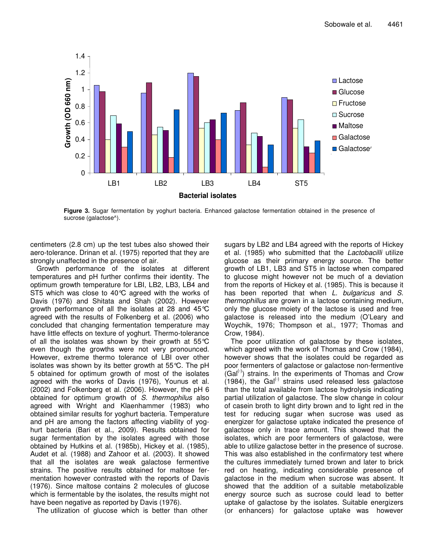

**Figure 3.** Sugar fermentation by yoghurt bacteria. Enhanced galactose fermentation obtained in the presence of sucrose (galactose^).

centimeters (2.8 cm) up the test tubes also showed their aero-tolerance. Drinan et al. (1975) reported that they are strongly unaffected in the presence of air.

Growth performance of the isolates at different temperatures and pH further confirms their identity. The optimum growth temperature for LBI, LB2, LB3, LB4 and ST5 which was close to 40°C agreed with the works of Davis (1976) and Shitata and Shah (2002). However growth performance of all the isolates at 28 and 45°C agreed with the results of Folkenberg et al. (2006) who concluded that changing fermentation temperature may have little effects on texture of yoghurt. Thermo-tolerance of all the isolates was shown by their growth at  $55^{\circ}$ C even though the growths were not very pronounced. However, extreme thermo tolerance of LBI over other isolates was shown by its better growth at 55°C. The pH 5 obtained for optimum growth of most of the isolates agreed with the works of Davis (1976), Younus et al. (2002) and Folkenberg et al. (2006). However, the pH 6 obtained for optimum growth of *S. thermophilus* also agreed with Wright and Klaenhammer (1983) who obtained similar results for yoghurt bacteria. Temperature and pH are among the factors affecting viability of yoghurt bacteria (Bari et al., 2009). Results obtained for sugar fermentation by the isolates agreed with those obtained by Hutkins et al. (1985b), Hickey et al. (1985), Audet et al. (1988) and Zahoor et al. (2003). It showed that all the isolates are weak galactose fermentive strains. The positive results obtained for maltose fermentation however contrasted with the reports of Davis (1976). Since maltose contains 2 molecules of glucose which is fermentable by the isolates, the results might not have been negative as reported by Davis (1976).

The utilization of glucose which is better than other

sugars by LB2 and LB4 agreed with the reports of Hickey et al. (1985) who submitted that the *Lactobacilli* utilize glucose as their primary energy source. The better growth of LB1, LB3 and ST5 in lactose when compared to glucose might however not be much of a deviation from the reports of Hickey et al. (1985). This is because it has been reported that when *L. bulgaricus* and *S. thermophillus* are grown in a lactose containing medium, only the glucose moiety of the lactose is used and free galactose is released into the medium (O'Leary and Woychik, 1976; Thompson et al., 1977; Thomas and Crow, 1984).

The poor utilization of galactose by these isolates, which agreed with the work of Thomas and Crow (1984), however shows that the isolates could be regarded as poor fermenters of galactose or galactose non-fermentive  $(Gal^{(\cdot)})$  strains. In the experiments of Thomas and Crow  $(1984)$ , the Gal<sup>(-)</sup> strains used released less galactose than the total available from lactose hydrolysis indicating partial utilization of galactose. The slow change in colour of casein broth to light dirty brown and to light red in the test for reducing sugar when sucrose was used as energizer for galactose uptake indicated the presence of galactose only in trace amount. This showed that the isolates, which are poor fermenters of galactose, were able to utilize galactose better in the presence of sucrose. This was also established in the confirmatory test where the cultures immediately turned brown and later to brick red on heating, indicating considerable presence of galactose in the medium when sucrose was absent. It showed that the addition of a suitable metabolizable energy source such as sucrose could lead to better uptake of galactose by the isolates. Suitable energizers (or enhancers) for galactose uptake was however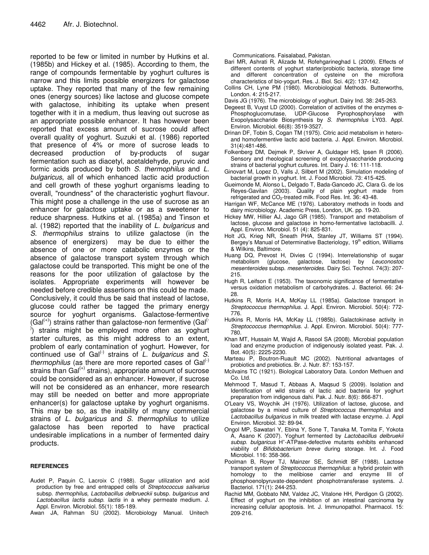reported to be few or limited in number by Hutkins et al. (1985b) and Hickey et al. (1985). According to them, the range of compounds fermentable by yoghurt cultures is narrow and this limits possible energizers for galactose uptake. They reported that many of the few remaining ones (energy sources) like lactose and glucose compete with galactose, inhibiting its uptake when present together with it in a medium, thus leaving out sucrose as an appropriate possible enhancer. It has however been reported that excess amount of sucrose could affect overall quality of yoghurt. Suzuki et al. (1986) reported that presence of 4% or more of sucrose leads to decreased production of by-products of sugar fermentation such as diacetyl, acetaldehyde, pyruvic and formic acids produced by both *S. thermophilus* and *L. bulgaricus*, all of which enhanced lactic acid production and cell growth of these yoghurt organisms leading to overall, "roundness" of the characteristic yoghurt flavour. This might pose a challenge in the use of sucrose as an enhancer for galactose uptake or as a sweetener to reduce sharpness. Hutkins et al. (1985a) and Tinson et al. (1982) reported that the inability of *L. bulgaricus* and *S. thermophilus* strains to utilize galactose (in the absence of energizers) may be due to either the absence of one or more catabolic enzymes or the absence of galactose transport system through which galactose could be transported. This might be one of the reasons for the poor utilization of galactose by the isolates. Appropriate experiments will however be needed before credible assertions on this could be made. Conclusively, it could thus be said that instead of lactose, glucose could rather be tagged the primary energy source for yoghurt organisms. Galactose-fermentive  $(Gal^{(+)} )$  strains rather than galactose-non fermentive  $(Gal^{(-)} )$  $\phi$ ) strains might be employed more often as yoghurt starter cultures, as this might address to an extent, problem of early contamination of yoghurt. However, for continued use of Gal (-) strains of *L. bulgaricus* and *S.* thermophilus (as there are more reported cases of Gal<sup>(-)</sup> strains than Gal<sup>(+)</sup> strains), appropriate amount of sucrose could be considered as an enhancer. However, if sucrose will not be considered as an enhancer, more research may still be needed on better and more appropriate enhancer(s) for galactose uptake by yoghurt organisms. This may be so, as the inability of many commercial strains of *L. bulgaricus* and *S. thermophilus* to utilize galactose has been reported to have practical undesirable implications in a number of fermented dairy products.

# **REFERENCES**

- Audet P, Paquin C, Lacroix C (1988). Sugar utilization and acid production by free and entrapped cells of *Streptococcus salivarius* subsp. *thermophilus, Lactobacillus delbrueckii* subsp*. bulgaricus* and *Lactobacillus lactis subsp. lactis* in a whey permeate medium. J. Appl. Environ. Microbiol. 55(1): 185-189.
- Awan JA, Rahman SU (2002). Microbiology Manual. Unitech

Communications. Faisalabad, Pakistan.

- Bari MR, Ashrati R, Alizade M, Rofehgarineghad L (2009). Effects of different contents of yoghurt starter/probiotic bacteria, storage time and different concentration of cysteine on the microflora characteristics of bio-yogurt. Res. J. Biol. Sci. 4(2): 137-142.
- Collins CH, Lyne PM (1980). Microbiological Methods. Butterworths, London. 4: 215-217.
- Davis JG (1976). The microbiology of yoghurt. Dairy Ind. 38: 245-263.
- Degeest B, Vuyst LD (2000). Correlation of activities of the enzymes  $\alpha$ -Phosphoglucomutase, UDP-Glucose Pyrophosphorylase with Exopolysaccharide Biosynthesis by *S. thermophilus* LY03. Appl. Environ. Microbiol. 66(8): 3519-3527.
- Drinan DF, Tobin S, Cogan TM (1975). Citric acid metabolism in heteroand homofermentive lactic acid bacteria. J. Appl. Environ. Microbiol. 31(4):481-486.
- Folkenberg DM, Dejmek P, Skriver A, Guldager HS, Ipsen R (2006). Sensory and rheological screening of exopolysaccharide producing strains of bacterial yoghurt cultures. Int. Dairy J. 16: 111-118.
- Ginovart M, Lopez D, Valls J, Silbert M (2002). Simulation modeling of bacterial growth in yoghurt. Int. J. Food Microbiol. 73: 415-425.
- Gueimonde M, Alonso L, Delgado T, Bada-Gancedo JC, Clara G. de los Reyes-Gavilan (2003). Quality of plain yoghurt made from refrigerated and CO2-treated milk. Food Res. Int. 36: 43-48.
- Harrigan WF, McCance ME (1976). Laboratory methods in foods and dairy microbiology. Academic Press, London, UK. pp. 19-20.
- Hickey MW, Hillier AJ, Jago GR (1985). Transport and metabolism of lactose, glucose and galactose in homo-fermentative lactobacilli. J. Appl. Environ. Microbiol. 51 (4): 825-831.
- Holt JG, Krieg NR, Sneath PHA, Stanley JT, Williams ST (1994). Bergey's Manual of Determinative Bacteriology, 19<sup>th</sup> edition, Williams & Wilkins, Baltimore.
- Huang DQ, Prevost H, Divies C (1994). Interrelationship of sugar metabolism (glucose, galactose, lactose) by *Leuconostoc mesenteroides* subsp. *mesenteroides*. Dairy Sci. Technol. 74(3): 207- 215.
- Hugh R, Leifson E (1953). The taxonomic significance of fermentative versus oxidation metabolism of carbohydrates. J. Bacteriol. 66: 24- 28.
- Hutkins R, Morris H.A, McKay LL (1985a). Galactose transport in *Streptococcus thermophilus*. J. Appl. Environ. Microbiol. 50(4): 772- 776.
- Hutkins R, Morris HA, McKay LL (1985b). Galactokinase activity in *Streptococcus thermophilus*. J. Appl. Environ. Microbiol. 50(4): 777- 780.
- Khan MT, Hussain M, Wajid A, Rasool SA (2008). Microbial population load and enzyme production of indigenously isolated yeast. Pak. J. Bot. 40(5): 2225-2230.
- Marteau P, Boutron-Ruault MC (2002). Nutritional advantages of probiotics and prebiotics. Br. J. Nutr. 87: 153-157.
- Mcilvains TC (1921). Biological Laboratory Data. London Methuen and Co. Ltd.
- Mehmood T, Masud T, Abbaas A, Maqsud S (2009). Isolation and Identification of wild strains of lactic acid bacteria for yoghurt preparation from indigenous dahi. Pak. J. Nutr. 8(6): 866-871.
- O'Leary VS, Woychik JH (1976). Utilization of lactose, glucose, and galactose by a mixed culture of *Streptococcus thermophilus* and *Lactobacillus bulgaricus* in milk treated with lactase enzyme. J. Appl Environ. Microbiol. 32: 89-94.
- Ongol MP, Sawatari Y, Ebina Y, Sone T, Tanaka M, Tomita F, Yokota A, Asano K (2007). Yoghurt fermented by *Lactobacillus delbruekii subsp. bulgaricus* H + -ATPase-defective mutants exhibits enhanced viability of *Bifidobacterium breve* during storage. Int. J. Food Microbiol. 116: 358-366.
- Poolman B, Royer TJ, Mainzer SE, Schmidt BF (1988). Lactose transport system of *Streptococcus thermophilus*: a hybrid protein with homology to the melibiose carrier and enzyme III of phosphoenolpyruvate-dependent phosphotrransferase systems. J. Bacteriol. 171(1): 244-253.
- Rachid MM, Gobbato NM, Valdez JC, Vitalone HH, Perdigon G (2002). Effect of yoghurt on the inhibition of an intestinal carcinoma by increasing cellular apoptosis. Int. J. Immunopathol. Pharmacol. 15: 209-216.